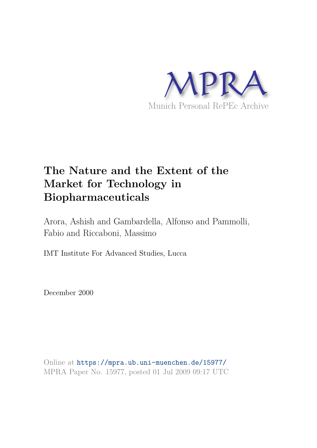

# **The Nature and the Extent of the Market for Technology in Biopharmaceuticals**

Arora, Ashish and Gambardella, Alfonso and Pammolli, Fabio and Riccaboni, Massimo

IMT Institute For Advanced Studies, Lucca

December 2000

Online at https://mpra.ub.uni-muenchen.de/15977/ MPRA Paper No. 15977, posted 01 Jul 2009 09:17 UTC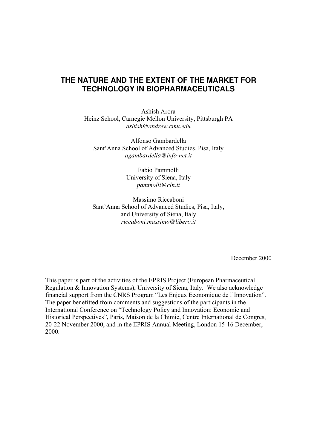# **THE NATURE AND THE EXTENT OF THE MARKET FOR TECHNOLOGY IN BIOPHARMACEUTICALS**

Ashish Arora Heinz School, Carnegie Mellon University, Pittsburgh PA *ashish@andrew.cmu.edu* 

Alfonso Gambardella Sant'Anna School of Advanced Studies, Pisa, Italy *agambardella@info-net.it* 

> Fabio Pammolli University of Siena, Italy *pammolli@cln.it*

Massimo Riccaboni Sant'Anna School of Advanced Studies, Pisa, Italy, and University of Siena, Italy *riccaboni.massimo@libero.it* 

December 2000

This paper is part of the activities of the EPRIS Project (European Pharmaceutical Regulation & Innovation Systems), University of Siena, Italy. We also acknowledge financial support from the CNRS Program "Les Enjeux Economique de l'Innovation". The paper benefitted from comments and suggestions of the participants in the International Conference on "Technology Policy and Innovation: Economic and Historical Perspectives", Paris, Maison de la Chimie, Centre International de Congres, 20-22 November 2000, and in the EPRIS Annual Meeting, London 15-16 December, 2000.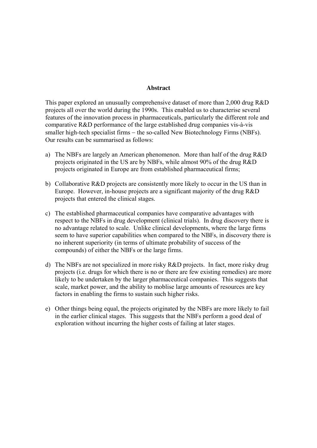## **Abstract**

This paper explored an unusually comprehensive dataset of more than 2,000 drug R&D projects all over the world during the 1990s. This enabled us to characterise several features of the innovation process in pharmaceuticals, particularly the different role and comparative R&D performance of the large established drug companies vis-à-vis smaller high-tech specialist firms – the so-called New Biotechnology Firms (NBFs). Our results can be summarised as follows:

- a) The NBFs are largely an American phenomenon. More than half of the drug R&D projects originated in the US are by NBFs, while almost 90% of the drug R&D projects originated in Europe are from established pharmaceutical firms;
- b) Collaborative R&D projects are consistently more likely to occur in the US than in Europe. However, in-house projects are a significant majority of the drug R&D projects that entered the clinical stages.
- c) The established pharmaceutical companies have comparative advantages with respect to the NBFs in drug development (clinical trials). In drug discovery there is no advantage related to scale. Unlike clinical developments, where the large firms seem to have superior capabilities when compared to the NBFs, in discovery there is no inherent superiority (in terms of ultimate probability of success of the compounds) of either the NBFs or the large firms.
- d) The NBFs are not specialized in more risky R&D projects. In fact, more risky drug projects (i.e. drugs for which there is no or there are few existing remedies) are more likely to be undertaken by the larger pharmaceutical companies. This suggests that scale, market power, and the ability to moblise large amounts of resources are key factors in enabling the firms to sustain such higher risks.
- e) Other things being equal, the projects originated by the NBFs are more likely to fail in the earlier clinical stages. This suggests that the NBFs perform a good deal of exploration without incurring the higher costs of failing at later stages.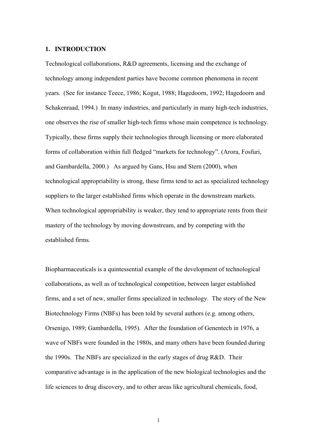#### **1. INTRODUCTION**

Technological collaborations, R&D agreements, licensing and the exchange of technology among independent parties have become common phenomena in recent years. (See for instance Teece, 1986; Kogut, 1988; Hagedoorn, 1992; Hagedoorn and Schakenraad, 1994.) In many industries, and particularly in many high-tech industries, one observes the rise of smaller high-tech firms whose main competence is technology. Typically, these firms supply their technologies through licensing or more elaborated forms of collaboration within full fledged "markets for technology". (Arora, Fosfuri, and Gambardella, 2000.) As argued by Gans, Hsu and Stern (2000), when technological appropriability is strong, these firms tend to act as specialized technology suppliers to the larger established firms which operate in the downstream markets. When technological appropriability is weaker, they tend to appropriate rents from their mastery of the technology by moving downstream, and by competing with the established firms.

Biopharmaceuticals is a quintessential example of the development of technological collaborations, as well as of technological competition, between larger established firms, and a set of new, smaller firms specialized in technology. The story of the New Biotechnology Firms (NBFs) has been told by several authors (e.g. among others, Orsenigo, 1989; Gambardella, 1995). After the foundation of Genentech in 1976, a wave of NBFs were founded in the 1980s, and many others have been founded during the 1990s. The NBFs are specialized in the early stages of drug R&D. Their comparative advantage is in the application of the new biological technologies and the life sciences to drug discovery, and to other areas like agricultural chemicals, food,

1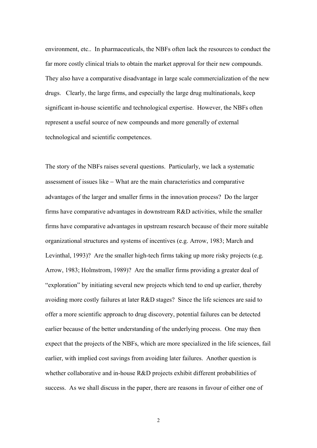environment, etc.. In pharmaceuticals, the NBFs often lack the resources to conduct the far more costly clinical trials to obtain the market approval for their new compounds. They also have a comparative disadvantage in large scale commercialization of the new drugs. Clearly, the large firms, and especially the large drug multinationals, keep significant in-house scientific and technological expertise. However, the NBFs often represent a useful source of new compounds and more generally of external technological and scientific competences.

The story of the NBFs raises several questions. Particularly, we lack a systematic assessment of issues like – What are the main characteristics and comparative advantages of the larger and smaller firms in the innovation process? Do the larger firms have comparative advantages in downstream R&D activities, while the smaller firms have comparative advantages in upstream research because of their more suitable organizational structures and systems of incentives (e.g. Arrow, 1983; March and Levinthal, 1993)? Are the smaller high-tech firms taking up more risky projects (e.g. Arrow, 1983; Holmstrom, 1989)? Are the smaller firms providing a greater deal of "exploration" by initiating several new projects which tend to end up earlier, thereby avoiding more costly failures at later R&D stages? Since the life sciences are said to offer a more scientific approach to drug discovery, potential failures can be detected earlier because of the better understanding of the underlying process. One may then expect that the projects of the NBFs, which are more specialized in the life sciences, fail earlier, with implied cost savings from avoiding later failures. Another question is whether collaborative and in-house R&D projects exhibit different probabilities of success. As we shall discuss in the paper, there are reasons in favour of either one of

2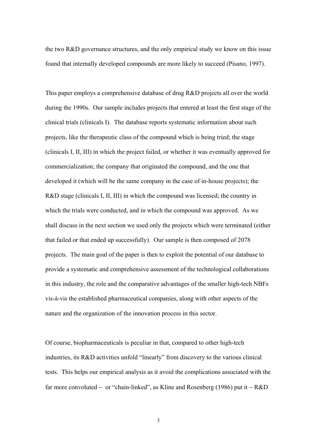the two R&D governance structures, and the only empirical study we know on this issue found that internally developed compounds are more likely to succeed (Pisano, 1997).

This paper employs a comprehensive database of drug R&D projects all over the world during the 1990s. Our sample includes projects that entered at least the first stage of the clinical trials (clinicals I). The database reports systematic information about such projects, like the therapeutic class of the compound which is being tried; the stage (clinicals I, II, III) in which the project failed, or whether it was eventually approved for commercialization; the company that originated the compound, and the one that developed it (which will be the same company in the case of in-house projects); the R&D stage (clinicals I, II, III) in which the compound was licensed; the country in which the trials were conducted, and in which the compound was approved. As we shall discuss in the next section we used only the projects which were terminated (either that failed or that ended up successfully). Our sample is then composed of 2078 projects. The main goal of the paper is then to exploit the potential of our database to provide a systematic and comprehensive assessment of the technological collaborations in this industry, the role and the comparative advantages of the smaller high-tech NBFs vis-à-vis the established pharmaceutical companies, along with other aspects of the nature and the organization of the innovation process in this sector.

Of course, biopharmaceuticals is peculiar in that, compared to other high-tech industries, its R&D activities unfold "linearly" from discovery to the various clinical tests. This helps our empirical analysis as it avoid the complications associated with the far more convoluted  $\sim$  or "chain-linked", as Kline and Rosenberg (1986) put it  $-R&D$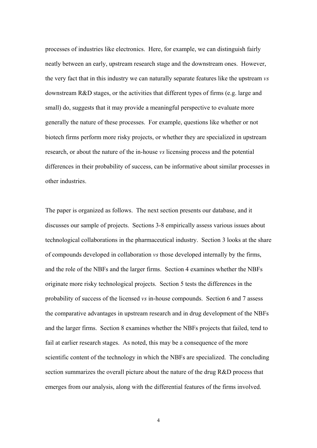processes of industries like electronics. Here, for example, we can distinguish fairly neatly between an early, upstream research stage and the downstream ones. However, the very fact that in this industry we can naturally separate features like the upstream *vs* downstream R&D stages, or the activities that different types of firms (e.g. large and small) do, suggests that it may provide a meaningful perspective to evaluate more generally the nature of these processes. For example, questions like whether or not biotech firms perform more risky projects, or whether they are specialized in upstream research, or about the nature of the in-house *vs* licensing process and the potential differences in their probability of success, can be informative about similar processes in other industries.

The paper is organized as follows. The next section presents our database, and it discusses our sample of projects. Sections 3-8 empirically assess various issues about technological collaborations in the pharmaceutical industry. Section 3 looks at the share of compounds developed in collaboration *vs* those developed internally by the firms, and the role of the NBFs and the larger firms. Section 4 examines whether the NBFs originate more risky technological projects. Section 5 tests the differences in the probability of success of the licensed *vs* in-house compounds. Section 6 and 7 assess the comparative advantages in upstream research and in drug development of the NBFs and the larger firms. Section 8 examines whether the NBFs projects that failed, tend to fail at earlier research stages. As noted, this may be a consequence of the more scientific content of the technology in which the NBFs are specialized. The concluding section summarizes the overall picture about the nature of the drug R&D process that emerges from our analysis, along with the differential features of the firms involved.

4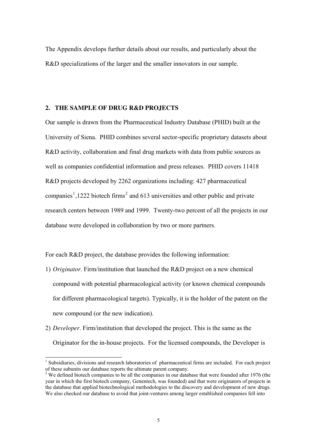The Appendix develops further details about our results, and particularly about the R&D specializations of the larger and the smaller innovators in our sample.

# **2. THE SAMPLE OF DRUG R&D PROJECTS**

Our sample is drawn from the Pharmaceutical Industry Database (PHID) built at the University of Siena. PHID combines several sector-specific proprietary datasets about R&D activity, collaboration and final drug markets with data from public sources as well as companies confidential information and press releases. PHID covers 11418 R&D projects developed by 2262 organizations including: 427 pharmaceutical companies<sup>[1](#page-7-0)</sup>,1[2](#page-7-1)22 biotech firms<sup>2</sup> and 613 universities and other public and private research centers between 1989 and 1999. Twenty-two percent of all the projects in our database were developed in collaboration by two or more partners.

For each R&D project, the database provides the following information:

- 1) *Originator*. Firm/institution that launched the R&D project on a new chemical compound with potential pharmacological activity (or known chemical compounds for different pharmacological targets). Typically, it is the holder of the patent on the new compound (or the new indication).
- 2) *Developer*. Firm/institution that developed the project. This is the same as the Originator for the in-house projects. For the licensed compounds, the Developer is

<span id="page-7-0"></span><sup>&</sup>lt;sup>1</sup> Subsidiaries, divisions and research laboratories of pharmaceutical firms are included. For each project of these subunits our database reports the ultimate parent company.

<span id="page-7-1"></span><sup>&</sup>lt;sup>2</sup> We defined biotech companies to be all the companies in our database that were founded after 1976 (the year in which the first biotech company, Genentech, was founded) and that were originators of projects in the database that applied biotechnological methodologies to the discovery and development of new drugs. We also checked our database to avoid that joint-ventures among larger established companies fell into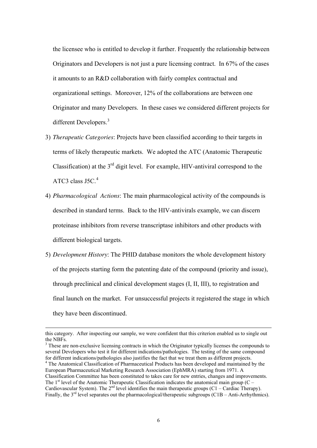the licensee who is entitled to develop it further. Frequently the relationship between Originators and Developers is not just a pure licensing contract. In 67% of the cases it amounts to an R&D collaboration with fairly complex contractual and organizational settings. Moreover, 12% of the collaborations are between one Originator and many Developers. In these cases we considered different projects for different Developers.<sup>3</sup>

- 3) *Therapeutic Categories*: Projects have been classified according to their targets in terms of likely therapeutic markets. We adopted the ATC (Anatomic Therapeutic Classification) at the  $3<sup>rd</sup>$  digit level. For example, HIV-antiviral correspond to the ATC3 class J5C. $4$
- 4) *Pharmacological Actions*: The main pharmacological activity of the compounds is described in standard terms. Back to the HIV-antivirals example, we can discern proteinase inhibitors from reverse transcriptase inhibitors and other products with different biological targets.
- 5) *Development History*: The PHID database monitors the whole development history of the projects starting form the patenting date of the compound (priority and issue), through preclinical and clinical development stages (I, II, III), to registration and final launch on the market. For unsuccessful projects it registered the stage in which they have been discontinued.

this category. After inspecting our sample, we were confident that this criterion enabled us to single out the NBFs.

<span id="page-8-0"></span><sup>&</sup>lt;sup>3</sup> These are non-exclusive licensing contracts in which the Originator typically licenses the compounds to several Developers who test it for different indications/pathologies. The testing of the same compound for different indications/pathologies also justifies the fact that we treat them as different projects. <sup>4</sup> The Anatomical Classification of Pharmaceutical Products has been developed and maintained by the European Pharmaceutical Marketing Research Association (EphMRA) starting from 1971. A Classification Committee has been constituted to takes care for new entries, changes and improvements. The 1<sup>st</sup> level of the Anatomic Therapeutic Classification indicates the anatomical main group (C – Cardiovascular System). The  $2<sup>nd</sup>$  level identifies the main therapeutic groups (C1 – Cardiac Therapy). Finally, the  $3<sup>rd</sup>$  level separates out the pharmacological/therapeutic subgroups (C1B – Anti-Arrhythmics).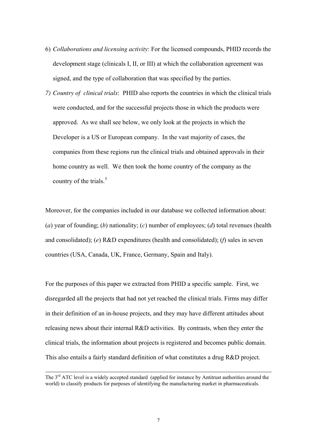- 6) *Collaborations and licensing activity*: For the licensed compounds, PHID records the development stage (clinicals I, II, or III) at which the collaboration agreement was signed, and the type of collaboration that was specified by the parties.
- *7) Country of clinical trials*: PHID also reports the countries in which the clinical trials were conducted, and for the successful projects those in which the products were approved. As we shall see below, we only look at the projects in which the Developer is a US or European company. In the vast majority of cases, the companies from these regions run the clinical trials and obtained approvals in their home country as well. We then took the home country of the company as the country of the trials. $5$

Moreover, for the companies included in our database we collected information about: (*a*) year of founding; (*b*) nationality; (*c*) number of employees; (*d*) total revenues (health and consolidated); (*e*) R&D expenditures (health and consolidated); (*f*) sales in seven countries (USA, Canada, UK, France, Germany, Spain and Italy).

For the purposes of this paper we extracted from PHID a specific sample. First, we disregarded all the projects that had not yet reached the clinical trials. Firms may differ in their definition of an in-house projects, and they may have different attitudes about releasing news about their internal R&D activities. By contrasts, when they enter the clinical trials, the information about projects is registered and becomes public domain. This also entails a fairly standard definition of what constitutes a drug R&D project.

<span id="page-9-0"></span>The 3<sup>rd</sup> ATC level is a widely accepted standard (applied for instance by Antitrust authorities around the world) to classify products for purposes of identifying the manufacturing market in pharmaceuticals.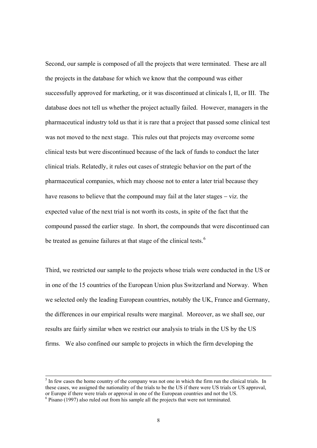Second, our sample is composed of all the projects that were terminated. These are all the projects in the database for which we know that the compound was either successfully approved for marketing, or it was discontinued at clinicals I, II, or III. The database does not tell us whether the project actually failed. However, managers in the pharmaceutical industry told us that it is rare that a project that passed some clinical test was not moved to the next stage. This rules out that projects may overcome some clinical tests but were discontinued because of the lack of funds to conduct the later clinical trials. Relatedly, it rules out cases of strategic behavior on the part of the pharmaceutical companies, which may choose not to enter a later trial because they have reasons to believe that the compound may fail at the later stages  $-$  viz. the expected value of the next trial is not worth its costs, in spite of the fact that the compound passed the earlier stage. In short, the compounds that were discontinued can be treated as genuine failures at that stage of the clinical tests.<sup>[6](#page-10-0)</sup>

Third, we restricted our sample to the projects whose trials were conducted in the US or in one of the 15 countries of the European Union plus Switzerland and Norway. When we selected only the leading European countries, notably the UK, France and Germany, the differences in our empirical results were marginal. Moreover, as we shall see, our results are fairly similar when we restrict our analysis to trials in the US by the US firms. We also confined our sample to projects in which the firm developing the

<sup>&</sup>lt;sup>5</sup> In few cases the home country of the company was not one in which the firm run the clinical trials. In these cases, we assigned the nationality of the trials to be the US if there were US trials or US approval, or Europe if there were trials or approval in one of the European countries and not the US.

<span id="page-10-0"></span><sup>&</sup>lt;sup>6</sup> Pisano (1997) also ruled out from his sample all the projects that were not terminated.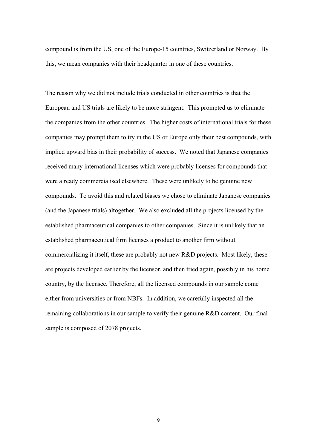compound is from the US, one of the Europe-15 countries, Switzerland or Norway. By this, we mean companies with their headquarter in one of these countries.

The reason why we did not include trials conducted in other countries is that the European and US trials are likely to be more stringent. This prompted us to eliminate the companies from the other countries. The higher costs of international trials for these companies may prompt them to try in the US or Europe only their best compounds, with implied upward bias in their probability of success. We noted that Japanese companies received many international licenses which were probably licenses for compounds that were already commercialised elsewhere. These were unlikely to be genuine new compounds. To avoid this and related biases we chose to eliminate Japanese companies (and the Japanese trials) altogether. We also excluded all the projects licensed by the established pharmaceutical companies to other companies. Since it is unlikely that an established pharmaceutical firm licenses a product to another firm without commercializing it itself, these are probably not new R&D projects. Most likely, these are projects developed earlier by the licensor, and then tried again, possibly in his home country, by the licensee. Therefore, all the licensed compounds in our sample come either from universities or from NBFs. In addition, we carefully inspected all the remaining collaborations in our sample to verify their genuine R&D content. Our final sample is composed of 2078 projects.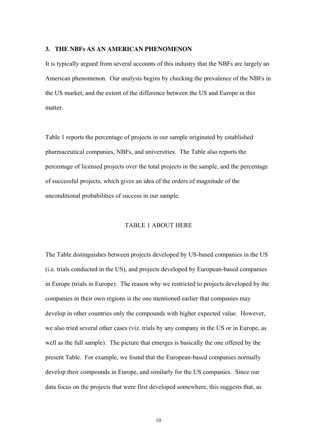#### **3. THE NBFs AS AN AMERICAN PHENOMENON**

It is typically argued from several accounts of this industry that the NBFs are largely an American phenomenon. Our analysis begins by checking the prevalence of the NBFs in the US market, and the extent of the difference between the US and Europe in this matter.

Table 1 reports the percentage of projects in our sample originated by established pharmaceutical companies, NBFs, and universities. The Table also reports the percentage of licensed projects over the total projects in the sample, and the percentage of successful projects, which gives an idea of the orders of magnitude of the unconditional probabilities of success in our sample.

#### TABLE 1 ABOUT HERE

The Table distinguishes between projects developed by US-based companies in the US (i.e. trials conducted in the US), and projects developed by European-based companies in Europe (trials in Europe). The reason why we restricted to projects developed by the companies in their own regions is the one mentioned earlier that companies may develop in other countries only the compounds with higher expected value. However, we also tried several other cases (viz. trials by any company in the US or in Europe, as well as the full sample). The picture that emerges is basically the one offered by the present Table. For example, we found that the European-based companies normally develop their compounds in Europe, and similarly for the US companies. Since our data focus on the projects that were first developed somewhere, this suggests that, as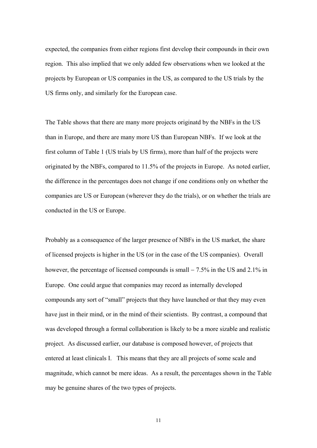expected, the companies from either regions first develop their compounds in their own region. This also implied that we only added few observations when we looked at the projects by European or US companies in the US, as compared to the US trials by the US firms only, and similarly for the European case.

The Table shows that there are many more projects originatd by the NBFs in the US than in Europe, and there are many more US than European NBFs. If we look at the first column of Table 1 (US trials by US firms), more than half of the projects were originated by the NBFs, compared to 11.5% of the projects in Europe. As noted earlier, the difference in the percentages does not change if one conditions only on whether the companies are US or European (wherever they do the trials), or on whether the trials are conducted in the US or Europe.

Probably as a consequence of the larger presence of NBFs in the US market, the share of licensed projects is higher in the US (or in the case of the US companies). Overall however, the percentage of licensed compounds is small  $-7.5\%$  in the US and 2.1% in Europe. One could argue that companies may record as internally developed compounds any sort of "small" projects that they have launched or that they may even have just in their mind, or in the mind of their scientists. By contrast, a compound that was developed through a formal collaboration is likely to be a more sizable and realistic project. As discussed earlier, our database is composed however, of projects that entered at least clinicals I. This means that they are all projects of some scale and magnitude, which cannot be mere ideas. As a result, the percentages shown in the Table may be genuine shares of the two types of projects.

11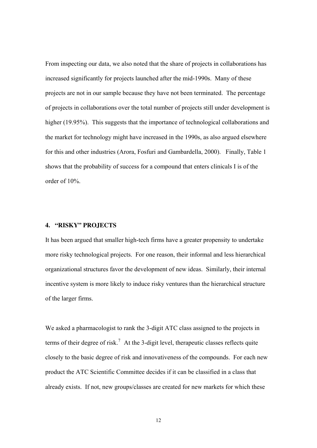From inspecting our data, we also noted that the share of projects in collaborations has increased significantly for projects launched after the mid-1990s. Many of these projects are not in our sample because they have not been terminated. The percentage of projects in collaborations over the total number of projects still under development is higher (19.95%). This suggests that the importance of technological collaborations and the market for technology might have increased in the 1990s, as also argued elsewhere for this and other industries (Arora, Fosfuri and Gambardella, 2000). Finally, Table 1 shows that the probability of success for a compound that enters clinicals I is of the order of 10%.

# **4. "RISKY" PROJECTS**

It has been argued that smaller high-tech firms have a greater propensity to undertake more risky technological projects. For one reason, their informal and less hierarchical organizational structures favor the development of new ideas. Similarly, their internal incentive system is more likely to induce risky ventures than the hierarchical structure of the larger firms.

<span id="page-14-0"></span>We asked a pharmacologist to rank the 3-digit ATC class assigned to the projects in terms of their degree of risk.<sup>[7](#page-14-0)</sup> At the 3-digit level, therapeutic classes reflects quite closely to the basic degree of risk and innovativeness of the compounds. For each new product the ATC Scientific Committee decides if it can be classified in a class that already exists. If not, new groups/classes are created for new markets for which these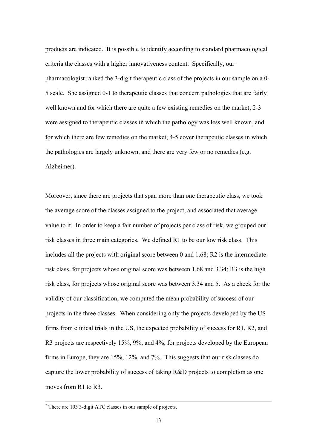products are indicated. It is possible to identify according to standard pharmacological criteria the classes with a higher innovativeness content. Specifically, our pharmacologist ranked the 3-digit therapeutic class of the projects in our sample on a 0- 5 scale. She assigned 0-1 to therapeutic classes that concern pathologies that are fairly well known and for which there are quite a few existing remedies on the market; 2-3 were assigned to therapeutic classes in which the pathology was less well known, and for which there are few remedies on the market; 4-5 cover therapeutic classes in which the pathologies are largely unknown, and there are very few or no remedies (e.g. Alzheimer).

Moreover, since there are projects that span more than one therapeutic class, we took the average score of the classes assigned to the project, and associated that average value to it. In order to keep a fair number of projects per class of risk, we grouped our risk classes in three main categories. We defined R1 to be our low risk class. This includes all the projects with original score between 0 and 1.68; R2 is the intermediate risk class, for projects whose original score was between 1.68 and 3.34; R3 is the high risk class, for projects whose original score was between 3.34 and 5. As a check for the validity of our classification, we computed the mean probability of success of our projects in the three classes. When considering only the projects developed by the US firms from clinical trials in the US, the expected probability of success for R1, R2, and R3 projects are respectively 15%, 9%, and 4%; for projects developed by the European firms in Europe, they are 15%, 12%, and 7%. This suggests that our risk classes do capture the lower probability of success of taking R&D projects to completion as one moves from R1 to R3.

 $\frac{1}{7}$  There are 193 3-digit ATC classes in our sample of projects.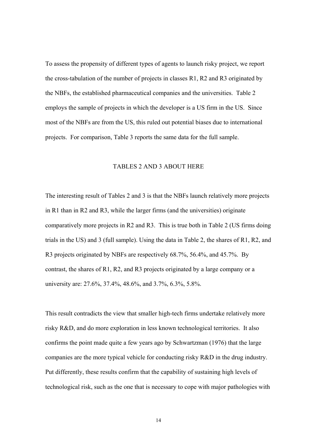To assess the propensity of different types of agents to launch risky project, we report the cross-tabulation of the number of projects in classes R1, R2 and R3 originated by the NBFs, the established pharmaceutical companies and the universities. Table 2 employs the sample of projects in which the developer is a US firm in the US. Since most of the NBFs are from the US, this ruled out potential biases due to international projects. For comparison, Table 3 reports the same data for the full sample.

### TABLES 2 AND 3 ABOUT HERE

The interesting result of Tables 2 and 3 is that the NBFs launch relatively more projects in R1 than in R2 and R3, while the larger firms (and the universities) originate comparatively more projects in R2 and R3. This is true both in Table 2 (US firms doing trials in the US) and 3 (full sample). Using the data in Table 2, the shares of R1, R2, and R3 projects originated by NBFs are respectively 68.7%, 56.4%, and 45.7%. By contrast, the shares of R1, R2, and R3 projects originated by a large company or a university are: 27.6%, 37.4%, 48.6%, and 3.7%, 6.3%, 5.8%.

This result contradicts the view that smaller high-tech firms undertake relatively more risky R&D, and do more exploration in less known technological territories. It also confirms the point made quite a few years ago by Schwartzman (1976) that the large companies are the more typical vehicle for conducting risky R&D in the drug industry. Put differently, these results confirm that the capability of sustaining high levels of technological risk, such as the one that is necessary to cope with major pathologies with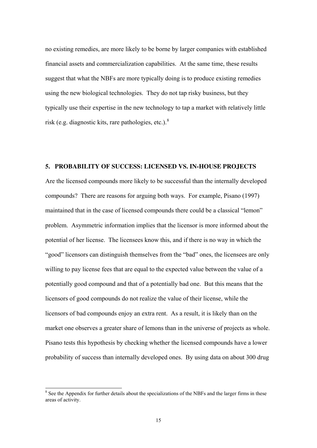no existing remedies, are more likely to be borne by larger companies with established financial assets and commercialization capabilities. At the same time, these results suggest that what the NBFs are more typically doing is to produce existing remedies using the new biological technologies. They do not tap risky business, but they typically use their expertise in the new technology to tap a market with relatively little risk (e.g. diagnostic kits, rare pathologies, etc.). $8$ 

#### **5. PROBABILITY OF SUCCESS: LICENSED VS. IN-HOUSE PROJECTS**

Are the licensed compounds more likely to be successful than the internally developed compounds? There are reasons for arguing both ways. For example, Pisano (1997) maintained that in the case of licensed compounds there could be a classical "lemon" problem. Asymmetric information implies that the licensor is more informed about the potential of her license. The licensees know this, and if there is no way in which the "good" licensors can distinguish themselves from the "bad" ones, the licensees are only willing to pay license fees that are equal to the expected value between the value of a potentially good compound and that of a potentially bad one. But this means that the licensors of good compounds do not realize the value of their license, while the licensors of bad compounds enjoy an extra rent. As a result, it is likely than on the market one observes a greater share of lemons than in the universe of projects as whole. Pisano tests this hypothesis by checking whether the licensed compounds have a lower probability of success than internally developed ones. By using data on about 300 drug

<span id="page-17-0"></span><sup>&</sup>lt;sup>8</sup> See the Appendix for further details about the specializations of the NBFs and the larger firms in these areas of activity.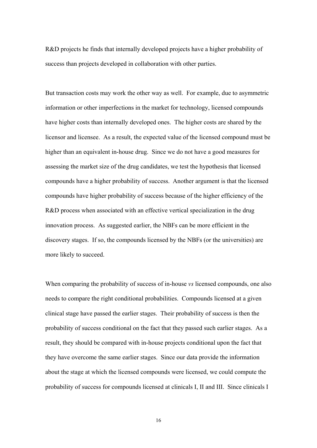R&D projects he finds that internally developed projects have a higher probability of success than projects developed in collaboration with other parties.

But transaction costs may work the other way as well. For example, due to asymmetric information or other imperfections in the market for technology, licensed compounds have higher costs than internally developed ones. The higher costs are shared by the licensor and licensee. As a result, the expected value of the licensed compound must be higher than an equivalent in-house drug. Since we do not have a good measures for assessing the market size of the drug candidates, we test the hypothesis that licensed compounds have a higher probability of success. Another argument is that the licensed compounds have higher probability of success because of the higher efficiency of the R&D process when associated with an effective vertical specialization in the drug innovation process. As suggested earlier, the NBFs can be more efficient in the discovery stages. If so, the compounds licensed by the NBFs (or the universities) are more likely to succeed.

When comparing the probability of success of in-house *vs* licensed compounds, one also needs to compare the right conditional probabilities. Compounds licensed at a given clinical stage have passed the earlier stages. Their probability of success is then the probability of success conditional on the fact that they passed such earlier stages. As a result, they should be compared with in-house projects conditional upon the fact that they have overcome the same earlier stages. Since our data provide the information about the stage at which the licensed compounds were licensed, we could compute the probability of success for compounds licensed at clinicals I, II and III. Since clinicals I

16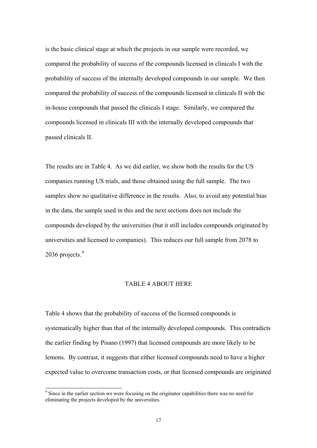is the basic clinical stage at which the projects in our sample were recorded, we compared the probability of success of the compounds licensed in clinicals I with the probability of success of the internally developed compounds in our sample. We then compared the probability of success of the compounds licensed in clinicals II with the in-house compounds that passed the clinicals I stage. Similarly, we compared the compounds licensed in clinicals III with the internally developed compounds that passed clinicals II.

The results are in Table 4. As we did earlier, we show both the results for the US companies running US trials, and those obtained using the full sample. The two samples show no qualitative difference in the results. Also, to avoid any potential bias in the data, the sample used in this and the next sections does not include the compounds developed by the universities (but it still includes compounds originated by universities and licensed to companies). This reduces our full sample from 2078 to 2036 projects.<sup>[9](#page-19-0)</sup>

#### TABLE 4 ABOUT HERE

Table 4 shows that the probability of success of the licensed compounds is systematically higher than that of the internally developed compounds. This contradicts the earlier finding by Pisano (1997) that licensed compounds are more likely to be lemons. By contrast, it suggests that either licensed compounds need to have a higher expected value to overcome transaction costs, or that licensed compounds are originated

<span id="page-19-0"></span><sup>&</sup>lt;sup>9</sup> Since in the earlier section we were focusing on the originator capabilities there was no need for eliminating the projects developed by the universities.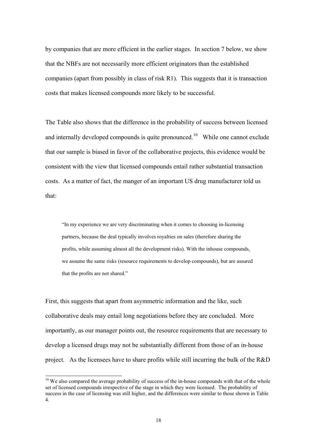by companies that are more efficient in the earlier stages. In section 7 below, we show that the NBFs are not necessarily more efficient originators than the established companies (apart from possibly in class of risk R1). This suggests that it is transaction costs that makes licensed compounds more likely to be successful.

The Table also shows that the difference in the probability of success between licensed and internally developed compounds is quite pronounced.<sup>[10](#page-20-0)</sup> While one cannot exclude that our sample is biased in favor of the collaborative projects, this evidence would be consistent with the view that licensed compounds entail rather substantial transaction costs. As a matter of fact, the manger of an important US drug manufacturer told us that:

"In my experience we are very discriminating when it comes to choosing in-licensing partners, because the deal typically involves royalties on sales (therefore sharing the profits, while assuming almost all the development risks). With the inhouse compounds, we assume the same risks (resource requirements to develop compounds), but are assured that the profits are not shared."

First, this suggests that apart from asymmetric information and the like, such collaborative deals may entail long negotiations before they are concluded. More importantly, as our manager points out, the resource requirements that are necessary to develop a licensed drugs may not be substantially different from those of an in-house project. As the licensees have to share profits while still incurring the bulk of the R&D

<span id="page-20-0"></span><sup>&</sup>lt;sup>10</sup> We also compared the average probability of success of the in-house compounds with that of the whole set of licensed compounds irrespective of the stage in which they were licensed. The probability of success in the case of licensing was still higher, and the differences were similar to those shown in Table 4.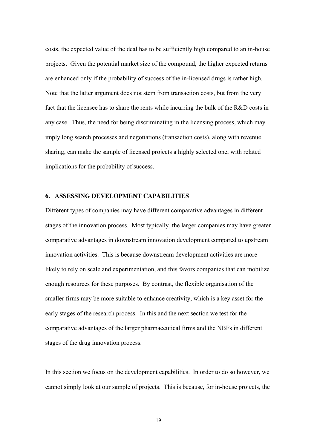costs, the expected value of the deal has to be sufficiently high compared to an in-house projects. Given the potential market size of the compound, the higher expected returns are enhanced only if the probability of success of the in-licensed drugs is rather high. Note that the latter argument does not stem from transaction costs, but from the very fact that the licensee has to share the rents while incurring the bulk of the R&D costs in any case. Thus, the need for being discriminating in the licensing process, which may imply long search processes and negotiations (transaction costs), along with revenue sharing, can make the sample of licensed projects a highly selected one, with related implications for the probability of success.

#### **6. ASSESSING DEVELOPMENT CAPABILITIES**

Different types of companies may have different comparative advantages in different stages of the innovation process. Most typically, the larger companies may have greater comparative advantages in downstream innovation development compared to upstream innovation activities. This is because downstream development activities are more likely to rely on scale and experimentation, and this favors companies that can mobilize enough resources for these purposes. By contrast, the flexible organisation of the smaller firms may be more suitable to enhance creativity, which is a key asset for the early stages of the research process. In this and the next section we test for the comparative advantages of the larger pharmaceutical firms and the NBFs in different stages of the drug innovation process.

In this section we focus on the development capabilities. In order to do so however, we cannot simply look at our sample of projects. This is because, for in-house projects, the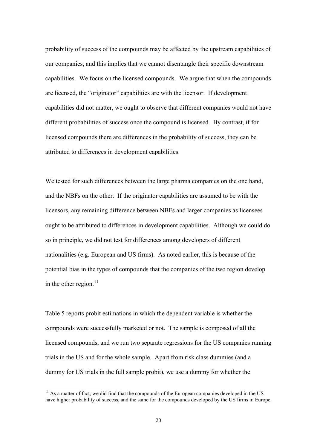probability of success of the compounds may be affected by the upstream capabilities of our companies, and this implies that we cannot disentangle their specific downstream capabilities. We focus on the licensed compounds. We argue that when the compounds are licensed, the "originator" capabilities are with the licensor. If development capabilities did not matter, we ought to observe that different companies would not have different probabilities of success once the compound is licensed. By contrast, if for licensed compounds there are differences in the probability of success, they can be attributed to differences in development capabilities.

We tested for such differences between the large pharma companies on the one hand, and the NBFs on the other. If the originator capabilities are assumed to be with the licensors, any remaining difference between NBFs and larger companies as licensees ought to be attributed to differences in development capabilities. Although we could do so in principle, we did not test for differences among developers of different nationalities (e.g. European and US firms). As noted earlier, this is because of the potential bias in the types of compounds that the companies of the two region develop in the other region. $^{11}$  $^{11}$  $^{11}$ 

Table 5 reports probit estimations in which the dependent variable is whether the compounds were successfully marketed or not. The sample is composed of all the licensed compounds, and we run two separate regressions for the US companies running trials in the US and for the whole sample. Apart from risk class dummies (and a dummy for US trials in the full sample probit), we use a dummy for whether the

<span id="page-22-0"></span> $11$  As a matter of fact, we did find that the compounds of the European companies developed in the US have higher probability of success, and the same for the compounds developed by the US firms in Europe.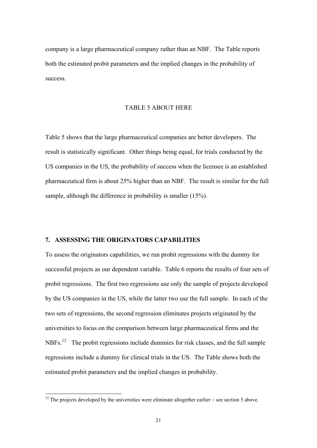company is a large pharmaceutical company rather than an NBF. The Table reports both the estimated probit parameters and the implied changes in the probability of success.

#### TABLE 5 ABOUT HERE

Table 5 shows that the large pharmaceutical companies are better developers. The result is statistically significant. Other things being equal, for trials conducted by the US companies in the US, the probability of success when the licensee is an established pharmaceutical firm is about 25% higher than an NBF. The result is similar for the full sample, although the difference in probability is smaller (15%).

### **7. ASSESSING THE ORIGINATORS CAPABILITIES**

To assess the originators capabilities, we run probit regressions with the dummy for successful projects as our dependent variable. Table 6 reports the results of four sets of probit regressions. The first two regressions use only the sample of projects developed by the US companies in the US, while the latter two use the full sample. In each of the two sets of regressions, the second regression eliminates projects originated by the universities to focus on the comparison between large pharmaceutical firms and the NBFs.<sup>[12](#page-23-0)</sup> The probit regressions include dummies for risk classes, and the full sample regressions include a dummy for clinical trials in the US. The Table shows both the estimated probit parameters and the implied changes in probability.

<span id="page-23-0"></span><sup>&</sup>lt;sup>12</sup> The projects developed by the universities were eliminate altogether earlier – see section 5 above.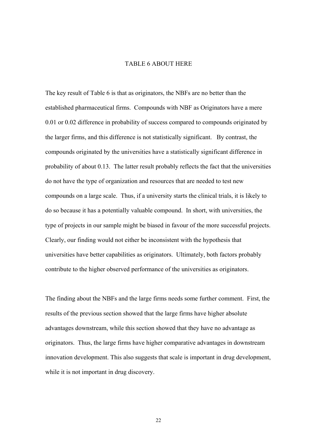## TABLE 6 ABOUT HERE

The key result of Table 6 is that as originators, the NBFs are no better than the established pharmaceutical firms. Compounds with NBF as Originators have a mere 0.01 or 0.02 difference in probability of success compared to compounds originated by the larger firms, and this difference is not statistically significant. By contrast, the compounds originated by the universities have a statistically significant difference in probability of about 0.13. The latter result probably reflects the fact that the universities do not have the type of organization and resources that are needed to test new compounds on a large scale. Thus, if a university starts the clinical trials, it is likely to do so because it has a potentially valuable compound. In short, with universities, the type of projects in our sample might be biased in favour of the more successful projects. Clearly, our finding would not either be inconsistent with the hypothesis that universities have better capabilities as originators. Ultimately, both factors probably contribute to the higher observed performance of the universities as originators.

The finding about the NBFs and the large firms needs some further comment. First, the results of the previous section showed that the large firms have higher absolute advantages downstream, while this section showed that they have no advantage as originators. Thus, the large firms have higher comparative advantages in downstream innovation development. This also suggests that scale is important in drug development, while it is not important in drug discovery.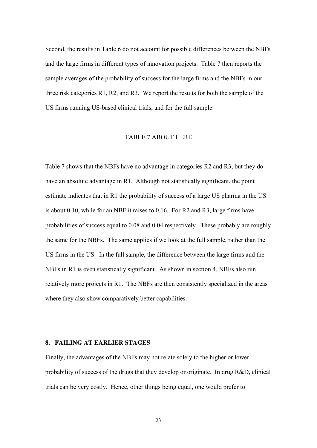Second, the results in Table 6 do not account for possible differences between the NBFs and the large firms in different types of innovation projects. Table 7 then reports the sample averages of the probability of success for the large firms and the NBFs in our three risk categories R1, R2, and R3. We report the results for both the sample of the US firms running US-based clinical trials, and for the full sample.

#### TABLE 7 ABOUT HERE

Table 7 shows that the NBFs have no advantage in categories R2 and R3, but they do have an absolute advantage in R1. Although not statistically significant, the point estimate indicates that in R1 the probability of success of a large US pharma in the US is about 0.10, while for an NBF it raises to 0.16. For R2 and R3, large firms have probabilities of success equal to 0.08 and 0.04 respectively. These probably are roughly the same for the NBFs. The same applies if we look at the full sample, rather than the US firms in the US. In the full sample, the difference between the large firms and the NBFs in R1 is even statistically significant. As shown in section 4, NBFs also run relatively more projects in R1. The NBFs are then consistently specialized in the areas where they also show comparatively better capabilities.

# **8. FAILING AT EARLIER STAGES**

Finally, the advantages of the NBFs may not relate solely to the higher or lower probability of success of the drugs that they develop or originate. In drug R&D, clinical trials can be very costly. Hence, other things being equal, one would prefer to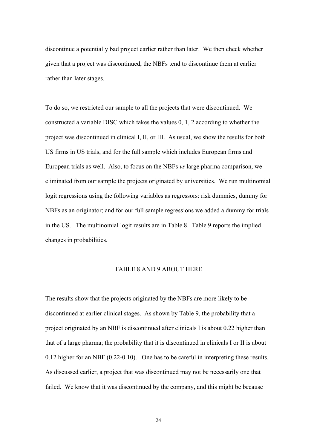discontinue a potentially bad project earlier rather than later. We then check whether given that a project was discontinued, the NBFs tend to discontinue them at earlier rather than later stages.

To do so, we restricted our sample to all the projects that were discontinued. We constructed a variable DISC which takes the values 0, 1, 2 according to whether the project was discontinued in clinical I, II, or III. As usual, we show the results for both US firms in US trials, and for the full sample which includes European firms and European trials as well. Also, to focus on the NBFs *vs* large pharma comparison, we eliminated from our sample the projects originated by universities. We run multinomial logit regressions using the following variables as regressors: risk dummies, dummy for NBFs as an originator; and for our full sample regressions we added a dummy for trials in the US. The multinomial logit results are in Table 8. Table 9 reports the implied changes in probabilities.

#### TABLE 8 AND 9 ABOUT HERE

The results show that the projects originated by the NBFs are more likely to be discontinued at earlier clinical stages. As shown by Table 9, the probability that a project originated by an NBF is discontinued after clinicals I is about 0.22 higher than that of a large pharma; the probability that it is discontinued in clinicals I or II is about 0.12 higher for an NBF (0.22-0.10). One has to be careful in interpreting these results. As discussed earlier, a project that was discontinued may not be necessarily one that failed. We know that it was discontinued by the company, and this might be because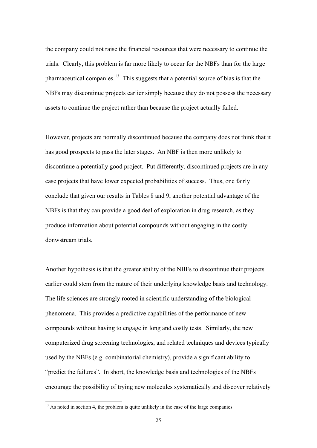the company could not raise the financial resources that were necessary to continue the trials. Clearly, this problem is far more likely to occur for the NBFs than for the large pharmaceutical companies.[13](#page-27-0) This suggests that a potential source of bias is that the NBFs may discontinue projects earlier simply because they do not possess the necessary assets to continue the project rather than because the project actually failed.

However, projects are normally discontinued because the company does not think that it has good prospects to pass the later stages. An NBF is then more unlikely to discontinue a potentially good project. Put differently, discontinued projects are in any case projects that have lower expected probabilities of success. Thus, one fairly conclude that given our results in Tables 8 and 9, another potential advantage of the NBFs is that they can provide a good deal of exploration in drug research, as they produce information about potential compounds without engaging in the costly donwstream trials.

Another hypothesis is that the greater ability of the NBFs to discontinue their projects earlier could stem from the nature of their underlying knowledge basis and technology. The life sciences are strongly rooted in scientific understanding of the biological phenomena. This provides a predictive capabilities of the performance of new compounds without having to engage in long and costly tests. Similarly, the new computerized drug screening technologies, and related techniques and devices typically used by the NBFs (e.g. combinatorial chemistry), provide a significant ability to "predict the failures". In short, the knowledge basis and technologies of the NBFs encourage the possibility of trying new molecules systematically and discover relatively

<span id="page-27-0"></span> $13$  As noted in section 4, the problem is quite unlikely in the case of the large companies.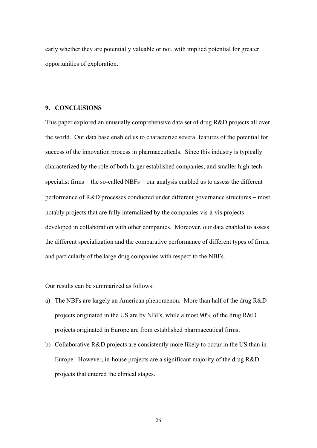early whether they are potentially valuable or not, with implied potential for greater opportunities of exploration.

# **9. CONCLUSIONS**

This paper explored an unusually comprehensive data set of drug R&D projects all over the world. Our data base enabled us to characterize several features of the potential for success of the innovation process in pharmaceuticals. Since this industry is typically characterized by the role of both larger established companies, and smaller high-tech specialist firms  $-$  the so-called NBFs  $-$  our analysis enabled us to assess the different performance of R&D processes conducted under different governance structures – most notably projects that are fully internalized by the companies vis-à-vis projects developed in collaboration with other companies. Moreover, our data enabled to assess the different specialization and the comparative performance of different types of firms, and particularly of the large drug companies with respect to the NBFs.

Our results can be summarized as follows:

- a) The NBFs are largely an American phenomenon. More than half of the drug R&D projects originated in the US are by NBFs, while almost 90% of the drug R&D projects originated in Europe are from established pharmaceutical firms;
- b) Collaborative R&D projects are consistently more likely to occur in the US than in Europe. However, in-house projects are a significant majority of the drug R&D projects that entered the clinical stages.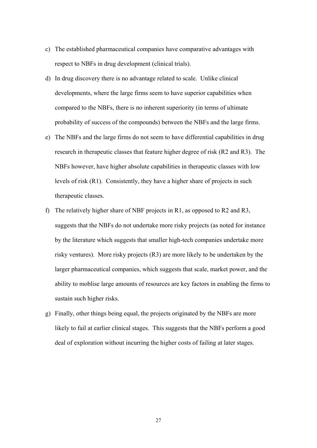- c) The established pharmaceutical companies have comparative advantages with respect to NBFs in drug development (clinical trials).
- d) In drug discovery there is no advantage related to scale. Unlike clinical developments, where the large firms seem to have superior capabilities when compared to the NBFs, there is no inherent superiority (in terms of ultimate probability of success of the compounds) between the NBFs and the large firms.
- e) The NBFs and the large firms do not seem to have differential capabilities in drug research in therapeutic classes that feature higher degree of risk (R2 and R3). The NBFs however, have higher absolute capabilities in therapeutic classes with low levels of risk (R1). Consistently, they have a higher share of projects in such therapeutic classes.
- f) The relatively higher share of NBF projects in R1, as opposed to R2 and R3, suggests that the NBFs do not undertake more risky projects (as noted for instance by the literature which suggests that smaller high-tech companies undertake more risky ventures). More risky projects (R3) are more likely to be undertaken by the larger pharmaceutical companies, which suggests that scale, market power, and the ability to moblise large amounts of resources are key factors in enabling the firms to sustain such higher risks.
- g) Finally, other things being equal, the projects originated by the NBFs are more likely to fail at earlier clinical stages. This suggests that the NBFs perform a good deal of exploration without incurring the higher costs of failing at later stages.

27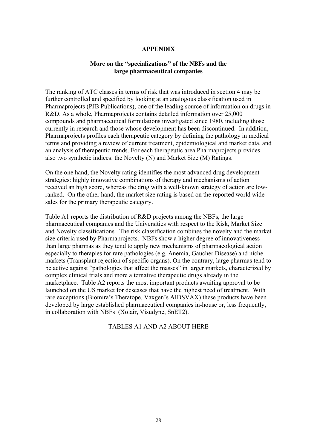# **APPENDIX**

# **More on the "specializations" of the NBFs and the large pharmaceutical companies**

The ranking of ATC classes in terms of risk that was introduced in section 4 may be further controlled and specified by looking at an analogous classification used in Pharmaprojects (PJB Publications), one of the leading source of information on drugs in R&D. As a whole, Pharmaprojects contains detailed information over 25,000 compounds and pharmaceutical formulations investigated since 1980, including those currently in research and those whose development has been discontinued. In addition, Pharmaprojects profiles each therapeutic category by defining the pathology in medical terms and providing a review of current treatment, epidemiological and market data, and an analysis of therapeutic trends. For each therapeutic area Pharmaprojects provides also two synthetic indices: the Novelty (N) and Market Size (M) Ratings.

On the one hand, the Novelty rating identifies the most advanced drug development strategies: highly innovative combinations of therapy and mechanisms of action received an high score, whereas the drug with a well-known strategy of action are lowranked. On the other hand, the market size rating is based on the reported world wide sales for the primary therapeutic category.

Table A1 reports the distribution of R&D projects among the NBFs, the large pharmaceutical companies and the Universities with respect to the Risk, Market Size and Novelty classifications. The risk classification combines the novelty and the market size criteria used by Pharmaprojects. NBFs show a higher degree of innovativeness than large pharmas as they tend to apply new mechanisms of pharmacological action especially to therapies for rare pathologies (e.g. Anemia, Gaucher Disease) and niche markets (Transplant rejection of specific organs). On the contrary, large pharmas tend to be active against "pathologies that affect the masses" in larger markets, characterized by complex clinical trials and more alternative therapeutic drugs already in the marketplace. Table A2 reports the most important products awaiting approval to be launched on the US market for deseases that have the highest need of treatment. With rare exceptions (Biomira's Theratope, Vaxgen's AIDSVAX) these products have been developed by large established pharmaceutical companies in-house or, less frequently, in collaboration with NBFs (Xolair, Visudyne, SnET2).

TABLES A1 AND A2 ABOUT HERE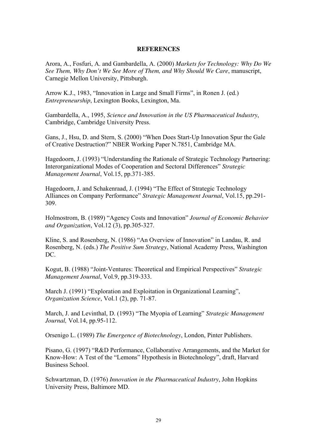## **REFERENCES**

Arora, A., Fosfuri, A. and Gambardella, A. (2000) *Markets for Technology: Why Do We See Them, Why Don't We See More of Them, and Why Should We Care*, manuscript, Carnegie Mellon University, Pittsburgh.

Arrow K.J., 1983, "Innovation in Large and Small Firms", in Ronen J. (ed.) *Entrepreneurship*, Lexington Books, Lexington, Ma.

Gambardella, A., 1995, *Science and Innovation in the US Pharmaceutical Industry*, Cambridge, Cambridge University Press.

Gans, J., Hsu, D. and Stern, S. (2000) "When Does Start-Up Innovation Spur the Gale of Creative Destruction?" NBER Working Paper N.7851, Cambridge MA.

Hagedoorn, J. (1993) "Understanding the Rationale of Strategic Technology Partnering: Interorganizational Modes of Cooperation and Sectoral Differences" *Strategic Management Journal*, Vol.15, pp.371-385.

Hagedoorn, J. and Schakenraad, J. (1994) "The Effect of Strategic Technology Alliances on Company Performance" *Strategic Management Journal*, Vol.15, pp.291- 309.

Holmostrom, B. (1989) "Agency Costs and Innovation" *Journal of Economic Behavior and Organization*, Vol.12 (3), pp.305-327.

Kline, S. and Rosenberg, N. (1986) "An Overview of Innovation" in Landau, R. and Rosenberg, N. (eds.) *The Positive Sum Strategy*, National Academy Press, Washington DC.

Kogut, B. (1988) "Joint-Ventures: Theoretical and Empirical Perspectives" *Strategic Management Journal*, Vol.9, pp.319-333.

March J. (1991) "Exploration and Exploitation in Organizational Learning", *Organization Science*, Vol.1 (2), pp. 71-87.

March, J. and Levinthal, D. (1993) "The Myopia of Learning" *Strategic Management Journal,* Vol.14, pp.95-112.

Orsenigo L. (1989) *The Emergence of Biotechnology*, London, Pinter Publishers.

Pisano, G. (1997) "R&D Performance, Collaborative Arrangements, and the Market for Know-How: A Test of the "Lemons" Hypothesis in Biotechnology", draft, Harvard Business School.

Schwartzman, D. (1976) *Innovation in the Pharmaceutical Industry*, John Hopkins University Press, Baltimore MD.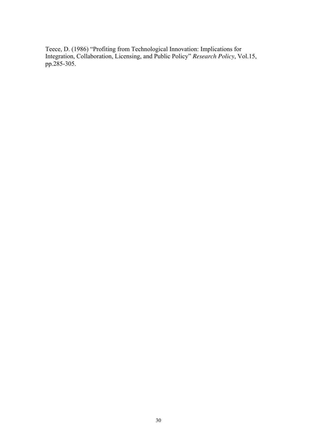Teece, D. (1986) "Profiting from Technological Innovation: Implications for Integration, Collaboration, Licensing, and Public Policy" *Research Policy*, Vol.15, pp.285-305.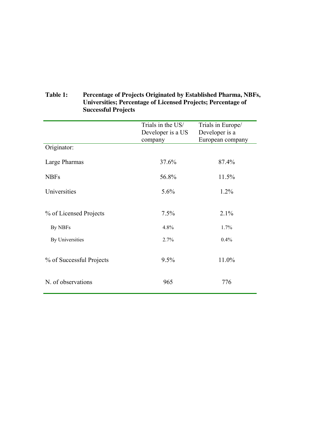|                          | Trials in the US/ | Trials in Europe/ |
|--------------------------|-------------------|-------------------|
|                          | Developer is a US | Developer is a    |
|                          | company           | European company  |
| Originator:              |                   |                   |
| Large Pharmas            | 37.6%             | 87.4%             |
| <b>NBFs</b>              | 56.8%             | 11.5%             |
| Universities             | 5.6%              | 1.2%              |
| % of Licensed Projects   | 7.5%              | 2.1%              |
|                          |                   |                   |
| By NBFs                  | 4.8%              | 1.7%              |
| By Universities          | 2.7%              | 0.4%              |
| % of Successful Projects | 9.5%              | 11.0%             |
| N. of observations       | 965               | 776               |

**Table 1: Percentage of Projects Originated by Established Pharma, NBFs,** 

**Successful Projects** 

**Universities; Percentage of Licensed Projects; Percentage of**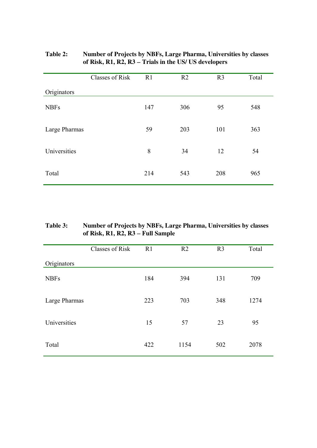|               | <b>Classes of Risk</b> | R1  | R <sub>2</sub> | R <sub>3</sub> | Total |
|---------------|------------------------|-----|----------------|----------------|-------|
| Originators   |                        |     |                |                |       |
| <b>NBFs</b>   |                        | 147 | 306            | 95             | 548   |
| Large Pharmas |                        | 59  | 203            | 101            | 363   |
| Universities  |                        | 8   | 34             | 12             | 54    |
| Total         |                        | 214 | 543            | 208            | 965   |

# **Table 2: Number of Projects by NBFs, Large Pharma, Universities by classes of Risk, R1, R2, R3 Trials in the US/ US developers**

# **Table 3: Number of Projects by NBFs, Large Pharma, Universities by classes of Risk, R1, R2, R3 Full Sample**

|               | <b>Classes of Risk</b> | R1  | R <sub>2</sub> | R <sub>3</sub> | Total |
|---------------|------------------------|-----|----------------|----------------|-------|
| Originators   |                        |     |                |                |       |
| <b>NBFs</b>   |                        | 184 | 394            | 131            | 709   |
| Large Pharmas |                        | 223 | 703            | 348            | 1274  |
| Universities  |                        | 15  | 57             | 23             | 95    |
| Total         |                        | 422 | 1154           | 502            | 2078  |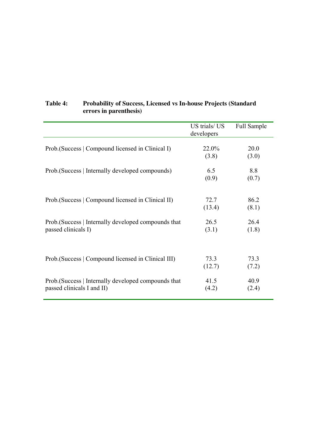|                                                                                    | US trials/ US<br>developers | <b>Full Sample</b> |
|------------------------------------------------------------------------------------|-----------------------------|--------------------|
| Prob. (Success   Compound licensed in Clinical I)                                  | 22.0%<br>(3.8)              | 20.0<br>(3.0)      |
| Prob. (Success   Internally developed compounds)                                   | 6.5<br>(0.9)                | 8.8<br>(0.7)       |
| Prob. (Success   Compound licensed in Clinical II)                                 | 72.7<br>(13.4)              | 86.2<br>(8.1)      |
| Prob. (Success   Internally developed compounds that<br>passed clinicals I)        | 26.5<br>(3.1)               | 26.4<br>(1.8)      |
| Prob. (Success   Compound licensed in Clinical III)                                | 73.3<br>(12.7)              | 73.3<br>(7.2)      |
| Prob. (Success   Internally developed compounds that<br>passed clinicals I and II) | 41.5<br>(4.2)               | 40.9<br>(2.4)      |

# **Table 4: Probability of Success, Licensed vs In-house Projects (Standard errors in parenthesis)**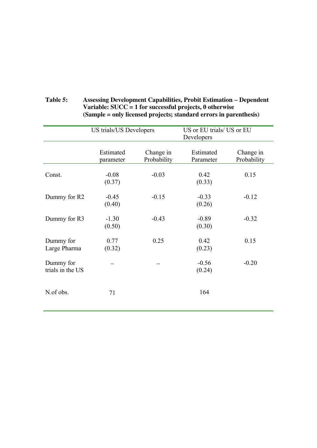|                               | US trials/US Developers |                          | US or EU trials/ US or EU<br>Developers |                          |
|-------------------------------|-------------------------|--------------------------|-----------------------------------------|--------------------------|
|                               | Estimated<br>parameter  | Change in<br>Probability | Estimated<br>Parameter                  | Change in<br>Probability |
| Const.                        | $-0.08$<br>(0.37)       | $-0.03$                  | 0.42<br>(0.33)                          | 0.15                     |
| Dummy for R2                  | $-0.45$<br>(0.40)       | $-0.15$                  | $-0.33$<br>(0.26)                       | $-0.12$                  |
| Dummy for R3                  | $-1.30$<br>(0.50)       | $-0.43$                  | $-0.89$<br>(0.30)                       | $-0.32$                  |
| Dummy for<br>Large Pharma     | 0.77<br>(0.32)          | 0.25                     | 0.42<br>(0.23)                          | 0.15                     |
| Dummy for<br>trials in the US |                         |                          | $-0.56$<br>(0.24)                       | $-0.20$                  |
| N.of obs.                     | 71                      |                          | 164                                     |                          |

# Table 5: Assessing Development Capabilities, Probit Estimation - Dependent **Variable: SUCC = 1 for successful projects, 0 otherwise (Sample = only licensed projects; standard errors in parenthesis)**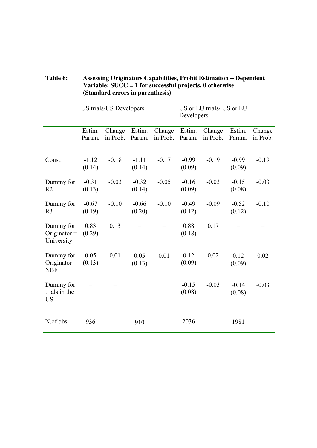# **Table 6: Assessing Originators Capabilities, Probit Estimation Dependent Variable: SUCC = 1 for successful projects, 0 otherwise (Standard errors in parenthesis)**

|                                           | US trials/US Developers |                    |                   | US or EU trials/ US or EU<br>Developers |                   |                    |                   |                    |
|-------------------------------------------|-------------------------|--------------------|-------------------|-----------------------------------------|-------------------|--------------------|-------------------|--------------------|
|                                           | Estim.<br>Param.        | Change<br>in Prob. | Estim.<br>Param.  | Change<br>in Prob.                      | Estim.<br>Param.  | Change<br>in Prob. | Estim.<br>Param.  | Change<br>in Prob. |
| Const.                                    | $-1.12$<br>(0.14)       | $-0.18$            | $-1.11$<br>(0.14) | $-0.17$                                 | $-0.99$<br>(0.09) | $-0.19$            | $-0.99$<br>(0.09) | $-0.19$            |
| Dummy for<br>R <sub>2</sub>               | $-0.31$<br>(0.13)       | $-0.03$            | $-0.32$<br>(0.14) | $-0.05$                                 | $-0.16$<br>(0.09) | $-0.03$            | $-0.15$<br>(0.08) | $-0.03$            |
| Dummy for<br>R <sub>3</sub>               | $-0.67$<br>(0.19)       | $-0.10$            | $-0.66$<br>(0.20) | $-0.10$                                 | $-0.49$<br>(0.12) | $-0.09$            | $-0.52$<br>(0.12) | $-0.10$            |
| Dummy for<br>Originator $=$<br>University | 0.83<br>(0.29)          | 0.13               |                   |                                         | 0.88<br>(0.18)    | 0.17               |                   |                    |
| Dummy for<br>Originator $=$<br><b>NBF</b> | 0.05<br>(0.13)          | 0.01               | 0.05<br>(0.13)    | 0.01                                    | 0.12<br>(0.09)    | 0.02               | 0.12<br>(0.09)    | 0.02               |
| Dummy for<br>trials in the<br><b>US</b>   |                         |                    |                   |                                         | $-0.15$<br>(0.08) | $-0.03$            | $-0.14$<br>(0.08) | $-0.03$            |
| N.of obs.                                 | 936                     |                    | 910               |                                         | 2036              |                    | 1981              |                    |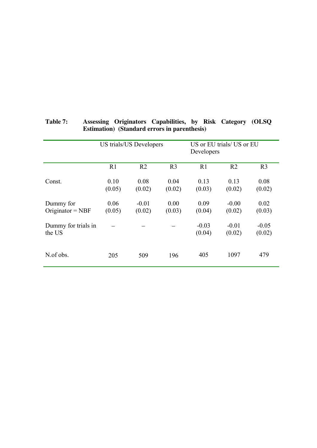|                                 | US trials/US Developers |                   |                | US or EU trials/ US or EU<br>Developers |                   |                   |
|---------------------------------|-------------------------|-------------------|----------------|-----------------------------------------|-------------------|-------------------|
|                                 | R <sub>1</sub>          | R <sub>2</sub>    | R <sub>3</sub> | R <sub>1</sub>                          | R <sub>2</sub>    | R <sub>3</sub>    |
| Const.                          | 0.10<br>(0.05)          | 0.08<br>(0.02)    | 0.04<br>(0.02) | 0.13<br>(0.03)                          | 0.13<br>(0.02)    | 0.08<br>(0.02)    |
| Dummy for<br>Originator = $NBF$ | 0.06<br>(0.05)          | $-0.01$<br>(0.02) | 0.00<br>(0.03) | 0.09<br>(0.04)                          | $-0.00$<br>(0.02) | 0.02<br>(0.03)    |
| Dummy for trials in<br>the US   |                         |                   |                | $-0.03$<br>(0.04)                       | $-0.01$<br>(0.02) | $-0.05$<br>(0.02) |
| N.of obs.                       | 205                     | 509               | 196            | 405                                     | 1097              | 479               |

# **Table 7: Assessing Originators Capabilities, by Risk Category (OLSQ Estimation) (Standard errors in parenthesis)**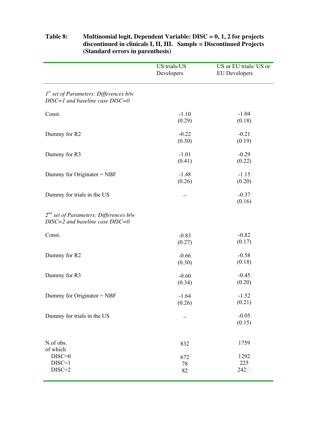|                                                                                           | US trials/US<br>Developers | US or EU trials/ US or<br><b>EU</b> Developers |
|-------------------------------------------------------------------------------------------|----------------------------|------------------------------------------------|
| $1st$ set of Parameters: Differences b/w<br>$DISC=1$ and baseline case $DISC=0$           |                            |                                                |
| Const.                                                                                    | $-1.10$<br>(0.29)          | $-1.04$<br>(0.18)                              |
| Dummy for R2                                                                              | $-0.22$<br>(0.30)          | $-0.21$<br>(0.19)                              |
| Dummy for R3                                                                              | $-1.01$<br>(0.41)          | $-0.29$<br>(0.22)                              |
| Dummy for Originator = NBF                                                                | $-1.48$<br>(0.26)          | $-1.15$<br>(0.20)                              |
| Dummy for trials in the US                                                                |                            | $-0.37$<br>(0.16)                              |
| 2 <sup>nd</sup> set of Parameters: Differences b/w<br>$DISC=2$ and baseline case $DISC=0$ |                            |                                                |
| Const.                                                                                    | $-0.83$<br>(0.27)          | $-0.82$<br>(0.17)                              |
| Dummy for R2                                                                              | $-0.66$<br>(0.30)          | $-0.58$<br>(0.18)                              |
| Dummy for R3                                                                              | $-0.60$<br>(0.34)          | $-0.45$<br>(0.20)                              |
| Dummy for Originator = NBF                                                                | $-1.64$<br>(0.26)          | $-1.52$<br>(0.21)                              |
| Dummy for trials in the US                                                                |                            | $-0.05$<br>(0.15)                              |
| N.of obs.<br>of which                                                                     | 832                        | 1759                                           |
| $DISC=0$<br>$DISC=1$<br>$DISC=2$                                                          | 672<br>78<br>82            | 1292<br>225<br>242□                            |

# **Table 8: Multinomial logit, Dependent Variable: DISC = 0, 1, 2 for projects discontinued in clinicals I, II, III. Sample = Discontinued Projects (Standard errors in parenthesis)**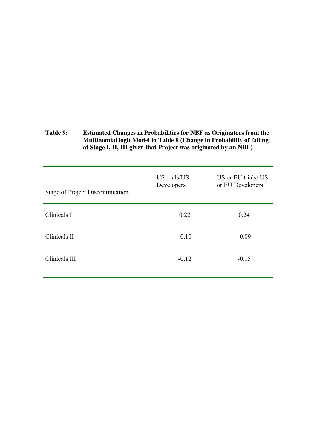# **Table 9: Estimated Changes in Probabilities for NBF as Originators from the Multinomial logit Model in Table 8 (Change in Probability of failing at Stage I, II, III given that Project was originated by an NBF)**

| <b>Stage of Project Discontinuation</b> | US trials/US<br>Developers | US or EU trials/ US<br>or EU Developers |
|-----------------------------------------|----------------------------|-----------------------------------------|
| Clinicals I                             | 0.22                       | 0.24                                    |
| Clinicals II                            | $-0.10$                    | $-0.09$                                 |
| Clinicals III                           | $-0.12$                    | $-0.15$                                 |
|                                         |                            |                                         |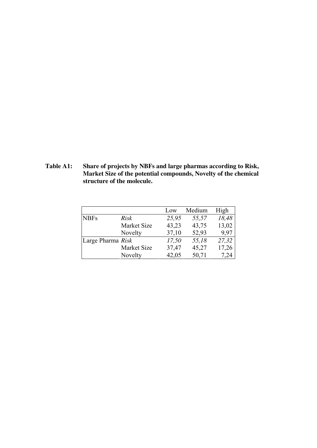**Table A1: Share of projects by NBFs and large pharmas according to Risk, Market Size of the potential compounds, Novelty of the chemical structure of the molecule.** 

|                   |             | Low   | Medium | High  |
|-------------------|-------------|-------|--------|-------|
| <b>NBFs</b>       | <b>Risk</b> | 25,95 | 55,57  | 18,48 |
|                   | Market Size | 43,23 | 43,75  | 13,02 |
|                   | Novelty     | 37,10 | 52,93  | 9,97  |
| Large Pharma Risk |             | 17,50 | 55,18  | 27,32 |
|                   | Market Size | 37,47 | 45,27  | 17,26 |
|                   | Novelty     | 42,05 | 50,71  | 7,24  |